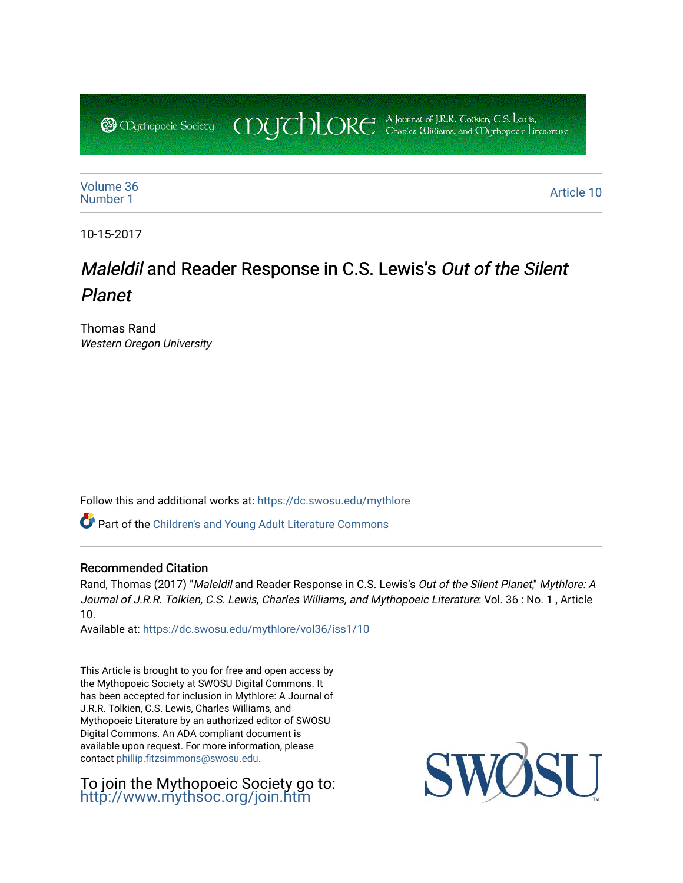COUCHORE A Journal of J.R.R. Colkien, C.S. Lewis, **@** *Oychopoeic* Sociecy

[Volume 36](https://dc.swosu.edu/mythlore/vol36)<br>Number 1 [Number 1](https://dc.swosu.edu/mythlore/vol36/iss1) Article 10<br>Number 1

10-15-2017

# Maleldil and Reader Response in C.S. Lewis's Out of the Silent Planet

Thomas Rand Western Oregon University

Follow this and additional works at: [https://dc.swosu.edu/mythlore](https://dc.swosu.edu/mythlore?utm_source=dc.swosu.edu%2Fmythlore%2Fvol36%2Fiss1%2F10&utm_medium=PDF&utm_campaign=PDFCoverPages) 

Part of the [Children's and Young Adult Literature Commons](http://network.bepress.com/hgg/discipline/1289?utm_source=dc.swosu.edu%2Fmythlore%2Fvol36%2Fiss1%2F10&utm_medium=PDF&utm_campaign=PDFCoverPages) 

#### Recommended Citation

Rand, Thomas (2017) "Maleldil and Reader Response in C.S. Lewis's Out of the Silent Planet," Mythlore: A Journal of J.R.R. Tolkien, C.S. Lewis, Charles Williams, and Mythopoeic Literature: Vol. 36 : No. 1 , Article 10.

Available at: [https://dc.swosu.edu/mythlore/vol36/iss1/10](https://dc.swosu.edu/mythlore/vol36/iss1/10?utm_source=dc.swosu.edu%2Fmythlore%2Fvol36%2Fiss1%2F10&utm_medium=PDF&utm_campaign=PDFCoverPages)

This Article is brought to you for free and open access by the Mythopoeic Society at SWOSU Digital Commons. It has been accepted for inclusion in Mythlore: A Journal of J.R.R. Tolkien, C.S. Lewis, Charles Williams, and Mythopoeic Literature by an authorized editor of SWOSU Digital Commons. An ADA compliant document is available upon request. For more information, please contact [phillip.fitzsimmons@swosu.edu.](mailto:phillip.fitzsimmons@swosu.edu)

To join the Mythopoeic Society go to: <http://www.mythsoc.org/join.htm>

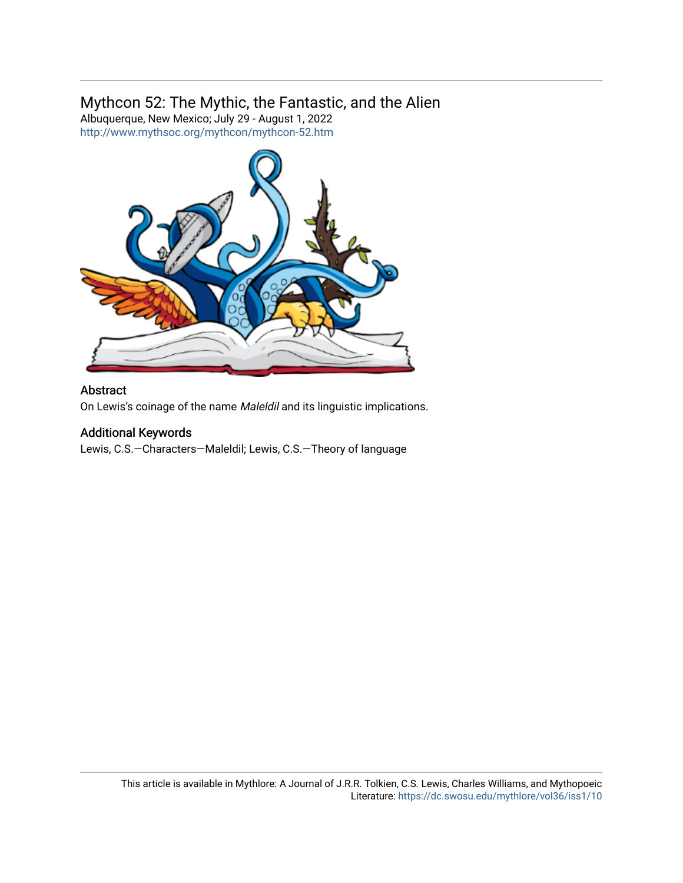## Mythcon 52: The Mythic, the Fantastic, and the Alien

Albuquerque, New Mexico; July 29 - August 1, 2022 <http://www.mythsoc.org/mythcon/mythcon-52.htm>



## Abstract

On Lewis's coinage of the name Maleldil and its linguistic implications.

## Additional Keywords

Lewis, C.S.—Characters—Maleldil; Lewis, C.S.—Theory of language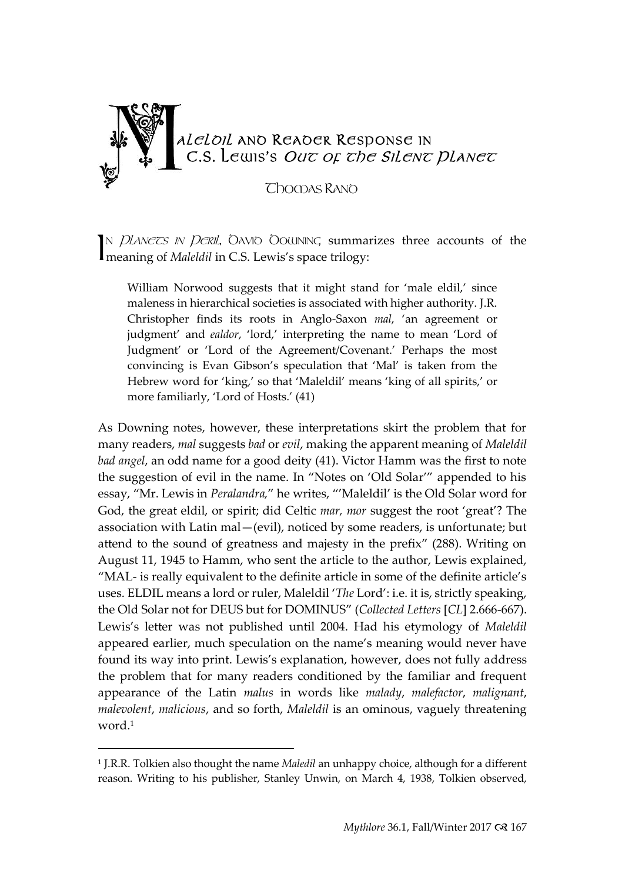

N *Planecs in Peril*, Oavio Oowning summarizes three accounts of the N *PLANETS IN PERIL*, OAVIO OOUINING summa<br>meaning of *Maleldil* in C.S. Lewis's space trilogy:

William Norwood suggests that it might stand for 'male eldil,' since maleness in hierarchical societies is associated with higher authority. J.R. Christopher finds its roots in Anglo-Saxon *mal*, 'an agreement or judgment' and *ealdor*, 'lord,' interpreting the name to mean 'Lord of Judgment' or 'Lord of the Agreement/Covenant.' Perhaps the most convincing is Evan Gibson's speculation that 'Mal' is taken from the Hebrew word for 'king,' so that 'Maleldil' means 'king of all spirits,' or more familiarly, 'Lord of Hosts.' (41)

As Downing notes, however, these interpretations skirt the problem that for many readers, *mal* suggests *bad* or *evil*, making the apparent meaning of *Maleldil bad angel*, an odd name for a good deity (41). Victor Hamm was the first to note the suggestion of evil in the name. In "Notes on 'Old Solar'" appended to his essay, "Mr. Lewis in *Peralandra,*" he writes, "'Maleldil' is the Old Solar word for God, the great eldil, or spirit; did Celtic *mar, mor* suggest the root 'great'? The association with Latin mal—(evil), noticed by some readers, is unfortunate; but attend to the sound of greatness and majesty in the prefix" (288). Writing on August 11, 1945 to Hamm, who sent the article to the author, Lewis explained, "MAL- is really equivalent to the definite article in some of the definite article's uses. ELDIL means a lord or ruler, Maleldil '*The* Lord': i.e. it is, strictly speaking, the Old Solar not for DEUS but for DOMINUS" (*Collected Letters* [*CL*] 2.666-667). Lewis's letter was not published until 2004. Had his etymology of *Maleldil* appeared earlier, much speculation on the name's meaning would never have found its way into print. Lewis's explanation, however, does not fully address the problem that for many readers conditioned by the familiar and frequent appearance of the Latin *malus* in words like *malady*, *malefactor*, *malignant*, *malevolent*, *malicious*, and so forth, *Maleldil* is an ominous, vaguely threatening word.<sup>1</sup>

<sup>1</sup> J.R.R. Tolkien also thought the name *Maledil* an unhappy choice, although for a different reason. Writing to his publisher, Stanley Unwin, on March 4, 1938, Tolkien observed,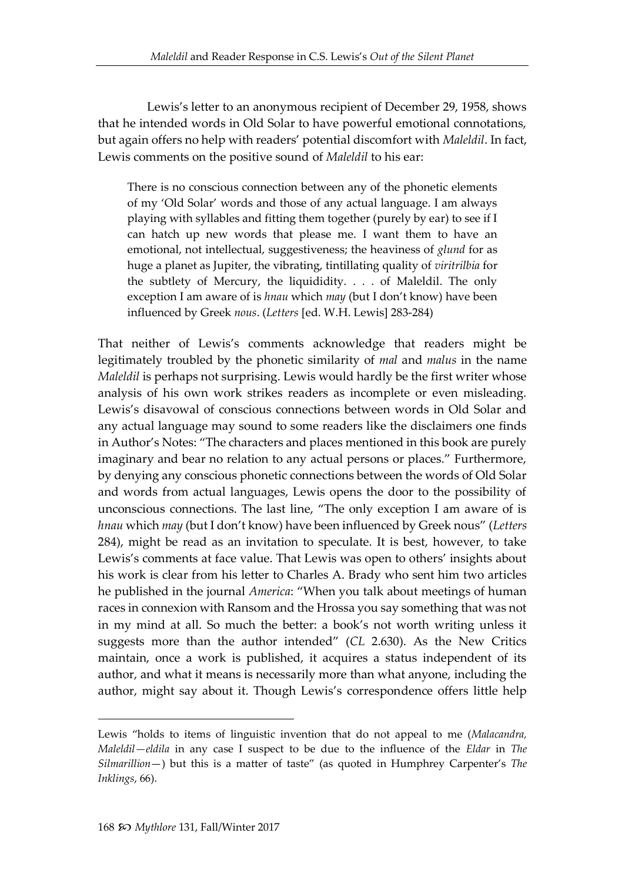Lewis's letter to an anonymous recipient of December 29, 1958, shows that he intended words in Old Solar to have powerful emotional connotations, but again offers no help with readers' potential discomfort with *Maleldil*. In fact, Lewis comments on the positive sound of *Maleldil* to his ear:

There is no conscious connection between any of the phonetic elements of my 'Old Solar' words and those of any actual language. I am always playing with syllables and fitting them together (purely by ear) to see if I can hatch up new words that please me. I want them to have an emotional, not intellectual, suggestiveness; the heaviness of *glund* for as huge a planet as Jupiter, the vibrating, tintillating quality of *viritrilbia* for the subtlety of Mercury, the liquididity. . . . of Maleldil. The only exception I am aware of is *hnau* which *may* (but I don't know) have been influenced by Greek *nous*. (*Letters* [ed. W.H. Lewis] 283-284)

That neither of Lewis's comments acknowledge that readers might be legitimately troubled by the phonetic similarity of *mal* and *malus* in the name *Maleldil* is perhaps not surprising. Lewis would hardly be the first writer whose analysis of his own work strikes readers as incomplete or even misleading. Lewis's disavowal of conscious connections between words in Old Solar and any actual language may sound to some readers like the disclaimers one finds in Author's Notes: "The characters and places mentioned in this book are purely imaginary and bear no relation to any actual persons or places." Furthermore, by denying any conscious phonetic connections between the words of Old Solar and words from actual languages, Lewis opens the door to the possibility of unconscious connections. The last line, "The only exception I am aware of is *hnau* which *may* (but I don't know) have been influenced by Greek nous" (*Letters* 284), might be read as an invitation to speculate. It is best, however, to take Lewis's comments at face value. That Lewis was open to others' insights about his work is clear from his letter to Charles A. Brady who sent him two articles he published in the journal *America*: "When you talk about meetings of human races in connexion with Ransom and the Hrossa you say something that was not in my mind at all. So much the better: a book's not worth writing unless it suggests more than the author intended" (*CL* 2.630). As the New Critics maintain, once a work is published, it acquires a status independent of its author, and what it means is necessarily more than what anyone, including the author, might say about it. Though Lewis's correspondence offers little help

-

Lewis "holds to items of linguistic invention that do not appeal to me (*Malacandra, Maleldil—eldila* in any case I suspect to be due to the influence of the *Eldar* in *The Silmarillion*—) but this is a matter of taste" (as quoted in Humphrey Carpenter's *The Inklings*, 66).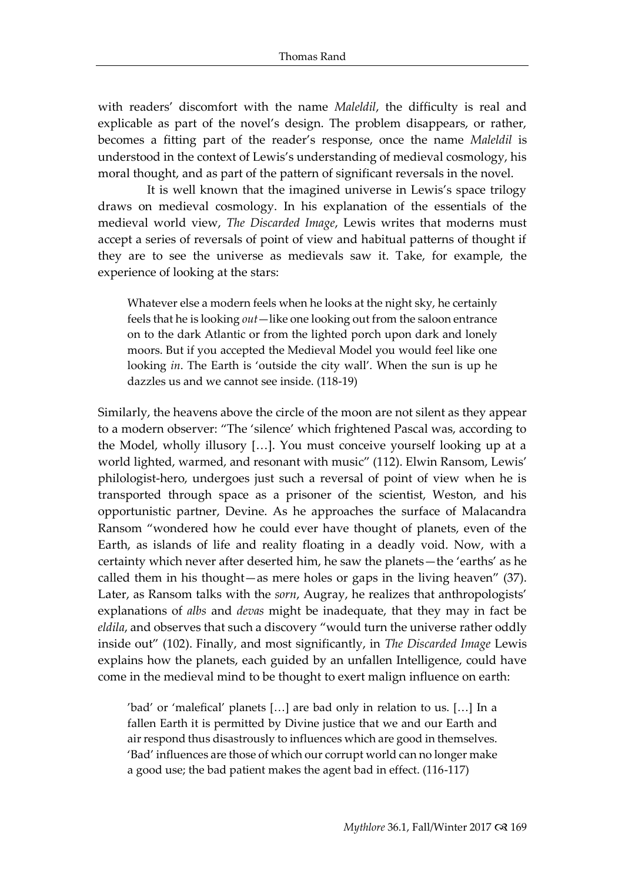with readers' discomfort with the name *Maleldil*, the difficulty is real and explicable as part of the novel's design. The problem disappears, or rather, becomes a fitting part of the reader's response, once the name *Maleldil* is understood in the context of Lewis's understanding of medieval cosmology, his moral thought, and as part of the pattern of significant reversals in the novel.

It is well known that the imagined universe in Lewis's space trilogy draws on medieval cosmology. In his explanation of the essentials of the medieval world view, *The Discarded Image*, Lewis writes that moderns must accept a series of reversals of point of view and habitual patterns of thought if they are to see the universe as medievals saw it. Take, for example, the experience of looking at the stars:

Whatever else a modern feels when he looks at the night sky, he certainly feels that he is looking *out*—like one looking out from the saloon entrance on to the dark Atlantic or from the lighted porch upon dark and lonely moors. But if you accepted the Medieval Model you would feel like one looking *in*. The Earth is 'outside the city wall'. When the sun is up he dazzles us and we cannot see inside. (118-19)

Similarly, the heavens above the circle of the moon are not silent as they appear to a modern observer: "The 'silence' which frightened Pascal was, according to the Model, wholly illusory […]. You must conceive yourself looking up at a world lighted, warmed, and resonant with music" (112). Elwin Ransom, Lewis' philologist-hero, undergoes just such a reversal of point of view when he is transported through space as a prisoner of the scientist, Weston, and his opportunistic partner, Devine. As he approaches the surface of Malacandra Ransom "wondered how he could ever have thought of planets, even of the Earth, as islands of life and reality floating in a deadly void. Now, with a certainty which never after deserted him, he saw the planets—the 'earths' as he called them in his thought—as mere holes or gaps in the living heaven" (37). Later, as Ransom talks with the *sorn*, Augray, he realizes that anthropologists' explanations of *albs* and *devas* might be inadequate, that they may in fact be *eldila*, and observes that such a discovery "would turn the universe rather oddly inside out" (102). Finally, and most significantly, in *The Discarded Image* Lewis explains how the planets, each guided by an unfallen Intelligence, could have come in the medieval mind to be thought to exert malign influence on earth:

'bad' or 'malefical' planets […] are bad only in relation to us. […] In a fallen Earth it is permitted by Divine justice that we and our Earth and air respond thus disastrously to influences which are good in themselves. 'Bad' influences are those of which our corrupt world can no longer make a good use; the bad patient makes the agent bad in effect. (116-117)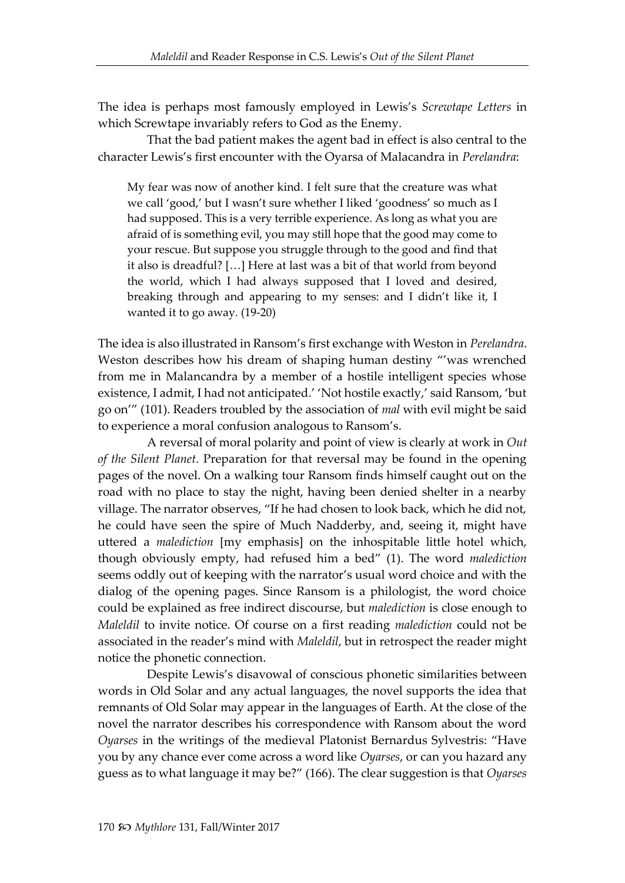The idea is perhaps most famously employed in Lewis's *Screwtape Letters* in which Screwtape invariably refers to God as the Enemy.

That the bad patient makes the agent bad in effect is also central to the character Lewis's first encounter with the Oyarsa of Malacandra in *Perelandra*:

My fear was now of another kind. I felt sure that the creature was what we call 'good,' but I wasn't sure whether I liked 'goodness' so much as I had supposed. This is a very terrible experience. As long as what you are afraid of is something evil, you may still hope that the good may come to your rescue. But suppose you struggle through to the good and find that it also is dreadful? […] Here at last was a bit of that world from beyond the world, which I had always supposed that I loved and desired, breaking through and appearing to my senses: and I didn't like it, I wanted it to go away. (19-20)

The idea is also illustrated in Ransom's first exchange with Weston in *Perelandra*. Weston describes how his dream of shaping human destiny "'was wrenched from me in Malancandra by a member of a hostile intelligent species whose existence, I admit, I had not anticipated.' 'Not hostile exactly,' said Ransom, 'but go on'" (101). Readers troubled by the association of *mal* with evil might be said to experience a moral confusion analogous to Ransom's.

A reversal of moral polarity and point of view is clearly at work in *Out of the Silent Planet.* Preparation for that reversal may be found in the opening pages of the novel. On a walking tour Ransom finds himself caught out on the road with no place to stay the night, having been denied shelter in a nearby village. The narrator observes, "If he had chosen to look back, which he did not, he could have seen the spire of Much Nadderby, and, seeing it, might have uttered a *malediction* [my emphasis] on the inhospitable little hotel which, though obviously empty, had refused him a bed" (1). The word *malediction* seems oddly out of keeping with the narrator's usual word choice and with the dialog of the opening pages. Since Ransom is a philologist, the word choice could be explained as free indirect discourse, but *malediction* is close enough to *Maleldil* to invite notice. Of course on a first reading *malediction* could not be associated in the reader's mind with *Maleldil*, but in retrospect the reader might notice the phonetic connection.

Despite Lewis's disavowal of conscious phonetic similarities between words in Old Solar and any actual languages, the novel supports the idea that remnants of Old Solar may appear in the languages of Earth. At the close of the novel the narrator describes his correspondence with Ransom about the word *Oyarses* in the writings of the medieval Platonist Bernardus Sylvestris: "Have you by any chance ever come across a word like *Oyarses*, or can you hazard any guess as to what language it may be?" (166). The clear suggestion is that *Oyarses*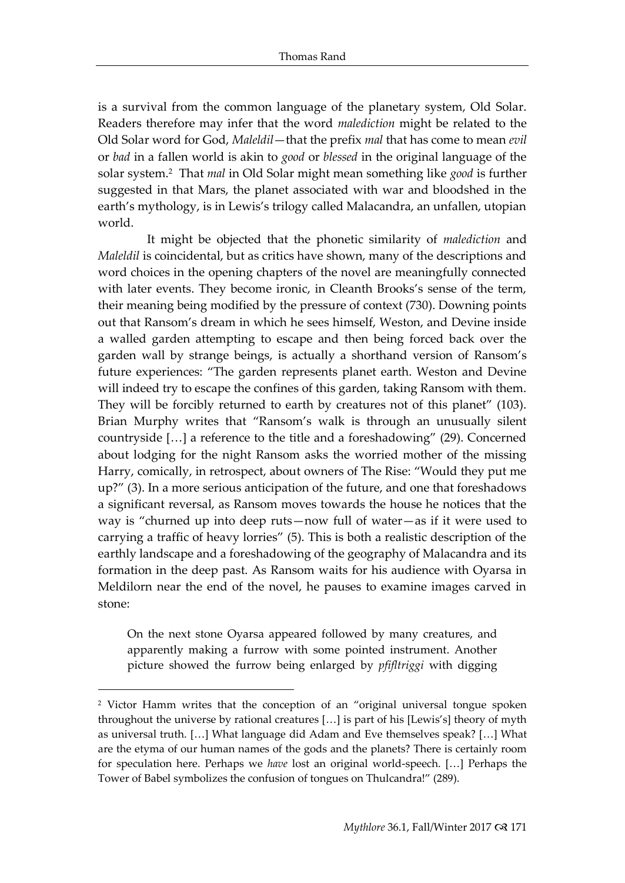is a survival from the common language of the planetary system, Old Solar. Readers therefore may infer that the word *malediction* might be related to the Old Solar word for God, *Maleldil*—that the prefix *mal* that has come to mean *evil* or *bad* in a fallen world is akin to *good* or *blessed* in the original language of the solar system. 2 That *mal* in Old Solar might mean something like *good* is further suggested in that Mars, the planet associated with war and bloodshed in the earth's mythology, is in Lewis's trilogy called Malacandra, an unfallen, utopian world.

It might be objected that the phonetic similarity of *malediction* and *Maleldil* is coincidental, but as critics have shown, many of the descriptions and word choices in the opening chapters of the novel are meaningfully connected with later events. They become ironic, in Cleanth Brooks's sense of the term, their meaning being modified by the pressure of context (730). Downing points out that Ransom's dream in which he sees himself, Weston, and Devine inside a walled garden attempting to escape and then being forced back over the garden wall by strange beings, is actually a shorthand version of Ransom's future experiences: "The garden represents planet earth. Weston and Devine will indeed try to escape the confines of this garden, taking Ransom with them. They will be forcibly returned to earth by creatures not of this planet" (103). Brian Murphy writes that "Ransom's walk is through an unusually silent countryside […] a reference to the title and a foreshadowing" (29). Concerned about lodging for the night Ransom asks the worried mother of the missing Harry, comically, in retrospect, about owners of The Rise: "Would they put me up?" (3). In a more serious anticipation of the future, and one that foreshadows a significant reversal, as Ransom moves towards the house he notices that the way is "churned up into deep ruts—now full of water—as if it were used to carrying a traffic of heavy lorries" (5). This is both a realistic description of the earthly landscape and a foreshadowing of the geography of Malacandra and its formation in the deep past. As Ransom waits for his audience with Oyarsa in Meldilorn near the end of the novel, he pauses to examine images carved in stone:

On the next stone Oyarsa appeared followed by many creatures, and apparently making a furrow with some pointed instrument. Another picture showed the furrow being enlarged by *pfifltriggi* with digging

<sup>2</sup> Victor Hamm writes that the conception of an "original universal tongue spoken throughout the universe by rational creatures […] is part of his [Lewis's] theory of myth as universal truth. […] What language did Adam and Eve themselves speak? […] What are the etyma of our human names of the gods and the planets? There is certainly room for speculation here. Perhaps we *have* lost an original world-speech. […] Perhaps the Tower of Babel symbolizes the confusion of tongues on Thulcandra!" (289).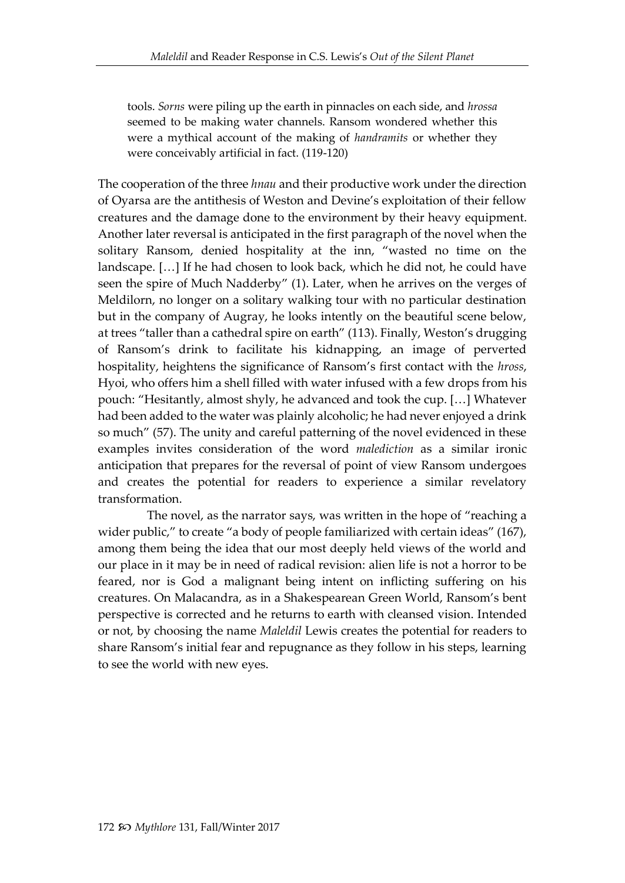tools. *Sorns* were piling up the earth in pinnacles on each side, and *hrossa* seemed to be making water channels. Ransom wondered whether this were a mythical account of the making of *handramits* or whether they were conceivably artificial in fact. (119-120)

The cooperation of the three *hnau* and their productive work under the direction of Oyarsa are the antithesis of Weston and Devine's exploitation of their fellow creatures and the damage done to the environment by their heavy equipment. Another later reversal is anticipated in the first paragraph of the novel when the solitary Ransom, denied hospitality at the inn, "wasted no time on the landscape. […] If he had chosen to look back, which he did not, he could have seen the spire of Much Nadderby" (1). Later, when he arrives on the verges of Meldilorn, no longer on a solitary walking tour with no particular destination but in the company of Augray, he looks intently on the beautiful scene below, at trees "taller than a cathedral spire on earth" (113). Finally, Weston's drugging of Ransom's drink to facilitate his kidnapping, an image of perverted hospitality, heightens the significance of Ransom's first contact with the *hross*, Hyoi, who offers him a shell filled with water infused with a few drops from his pouch: "Hesitantly, almost shyly, he advanced and took the cup. […] Whatever had been added to the water was plainly alcoholic; he had never enjoyed a drink so much" (57). The unity and careful patterning of the novel evidenced in these examples invites consideration of the word *malediction* as a similar ironic anticipation that prepares for the reversal of point of view Ransom undergoes and creates the potential for readers to experience a similar revelatory transformation.

The novel, as the narrator says, was written in the hope of "reaching a wider public," to create "a body of people familiarized with certain ideas" (167), among them being the idea that our most deeply held views of the world and our place in it may be in need of radical revision: alien life is not a horror to be feared, nor is God a malignant being intent on inflicting suffering on his creatures. On Malacandra, as in a Shakespearean Green World, Ransom's bent perspective is corrected and he returns to earth with cleansed vision. Intended or not, by choosing the name *Maleldil* Lewis creates the potential for readers to share Ransom's initial fear and repugnance as they follow in his steps, learning to see the world with new eyes.